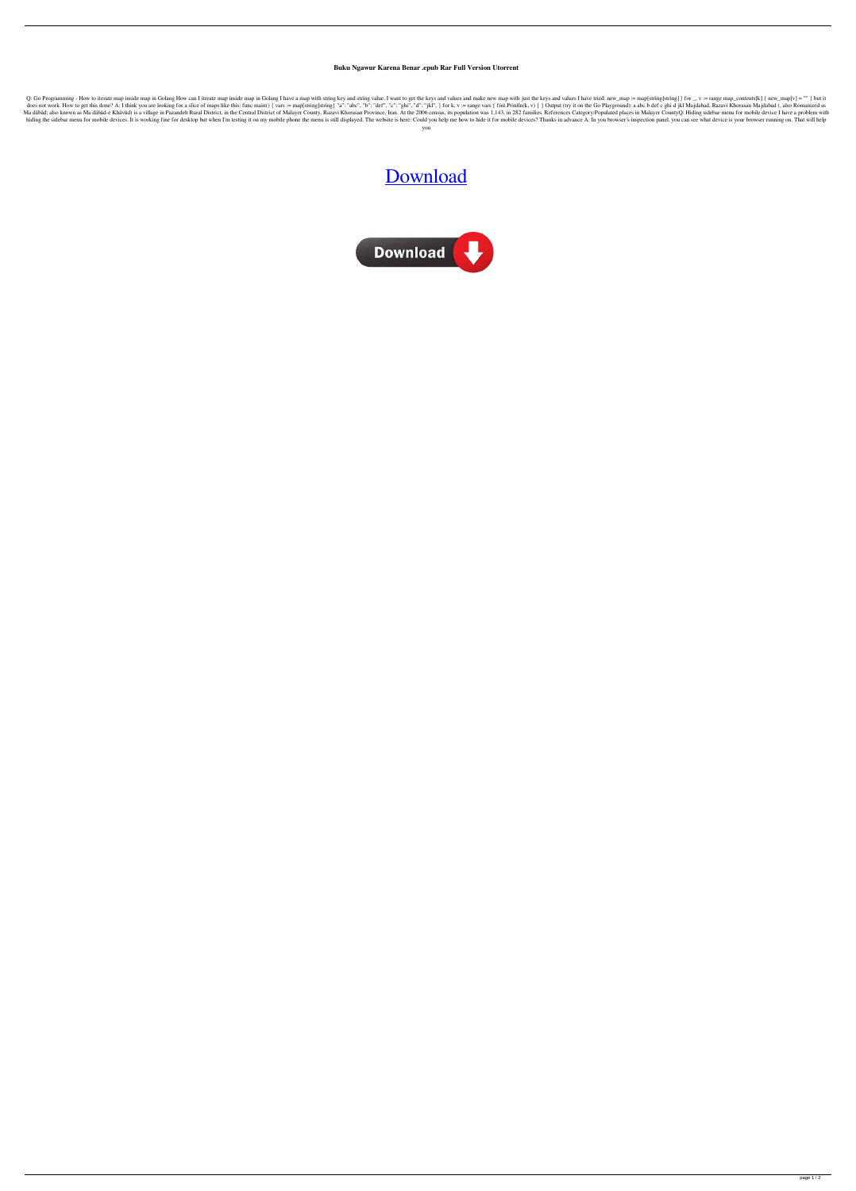## **Buku Ngawur Karena Benar .epub Rar Full Version Utorrent**

Q: Go Programming - How to iterate map inside map in Golang How can I iterate map inside map inside map in Golang I have a map with string key and string value. I want to get the keys and values and make new map with just does not work. How to get this done? A: I think you are looking for a slice of maps like this: func main() { vars := map[string]string ["a": "abc", "b": "def", "c": "ghi", "d": "jkl", } for k, v := range vars { fmt.Println Ma'dabad; also known as Ma'dabad-e Khavud) is a village in Pazandeh Rural District, in the Central District, in the Central District of Malayer County, Razavi Khorasan Province, Iran. At the 2006 census, its population was hiding the sidebar menu for mobile devices. It is working fine for desktop but when I'm testing it on my mobile phone the menu is still displayed. The website is here: Could you help me how to hide it for mobile devices? T you

[Download](http://evacdir.com/schizophrenic.annonymously/manipulations/rojales.skippers?ZG93bmxvYWQgYnVrdSBuZ2F3dXIga2FyZW5hIGJlbmFyIHBkZgZG9=ZG93bmxvYWR8NllWTVdaaFlueDhNVFkxTWpjME1EZzJObng4TWpVM05IeDhLRTBwSUhKbFlXUXRZbXh2WnlCYlJtRnpkQ0JIUlU1ZA&swipe=montanera)